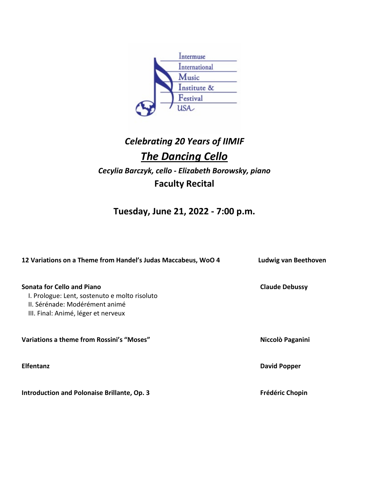

## *Celebrating 20 Years of IIMIF The Dancing Cello Cecylia Barczyk, cello - Elizabeth Borowsky, piano* **Faculty Recital**

**Tuesday, June 21, 2022 - 7:00 p.m.**

| 12 Variations on a Theme from Handel's Judas Maccabeus, WoO 4                                                                                               | Ludwig van Beethoven   |
|-------------------------------------------------------------------------------------------------------------------------------------------------------------|------------------------|
| <b>Sonata for Cello and Piano</b><br>I. Prologue: Lent, sostenuto e molto risoluto<br>II. Sérénade: Modérément animé<br>III. Final: Animé, léger et nerveux | <b>Claude Debussy</b>  |
| Variations a theme from Rossini's "Moses"                                                                                                                   | Niccolò Paganini       |
| <b>Elfentanz</b>                                                                                                                                            | <b>David Popper</b>    |
| Introduction and Polonaise Brillante, Op. 3                                                                                                                 | <b>Frédéric Chopin</b> |